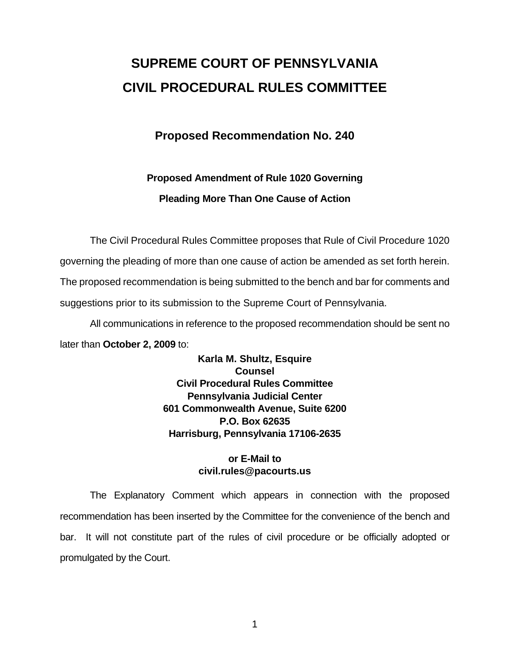# **SUPREME COURT OF PENNSYLVANIA CIVIL PROCEDURAL RULES COMMITTEE**

### **Proposed Recommendation No. 240**

## **Proposed Amendment of Rule 1020 Governing Pleading More Than One Cause of Action**

The Civil Procedural Rules Committee proposes that Rule of Civil Procedure 1020

governing the pleading of more than one cause of action be amended as set forth herein.

The proposed recommendation is being submitted to the bench and bar for comments and

suggestions prior to its submission to the Supreme Court of Pennsylvania.

 All communications in reference to the proposed recommendation should be sent no later than **October 2, 2009** to:

> **Karla M. Shultz, Esquire Counsel Civil Procedural Rules Committee Pennsylvania Judicial Center 601 Commonwealth Avenue, Suite 6200 P.O. Box 62635 Harrisburg, Pennsylvania 17106-2635**

#### **or E-Mail to civil.rules@pacourts.us**

 The Explanatory Comment which appears in connection with the proposed recommendation has been inserted by the Committee for the convenience of the bench and bar. It will not constitute part of the rules of civil procedure or be officially adopted or promulgated by the Court.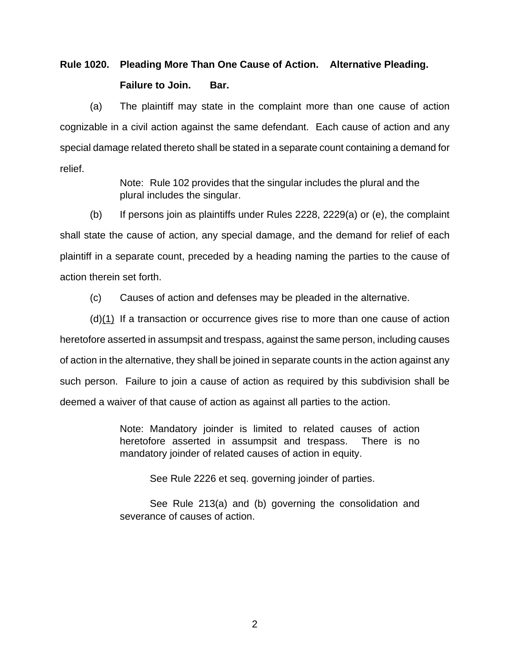### **Rule 1020. Pleading More Than One Cause of Action. Alternative Pleading. Failure to Join. Bar.**

 (a) The plaintiff may state in the complaint more than one cause of action cognizable in a civil action against the same defendant. Each cause of action and any special damage related thereto shall be stated in a separate count containing a demand for relief.

> Note: Rule 102 provides that the singular includes the plural and the plural includes the singular.

 (b) If persons join as plaintiffs under Rules 2228, 2229(a) or (e), the complaint shall state the cause of action, any special damage, and the demand for relief of each plaintiff in a separate count, preceded by a heading naming the parties to the cause of action therein set forth.

(c) Causes of action and defenses may be pleaded in the alternative.

 (d)(1) If a transaction or occurrence gives rise to more than one cause of action heretofore asserted in assumpsit and trespass, against the same person, including causes of action in the alternative, they shall be joined in separate counts in the action against any such person. Failure to join a cause of action as required by this subdivision shall be deemed a waiver of that cause of action as against all parties to the action.

> Note: Mandatory joinder is limited to related causes of action heretofore asserted in assumpsit and trespass. There is no mandatory joinder of related causes of action in equity.

See Rule 2226 et seq. governing joinder of parties.

 See Rule 213(a) and (b) governing the consolidation and severance of causes of action.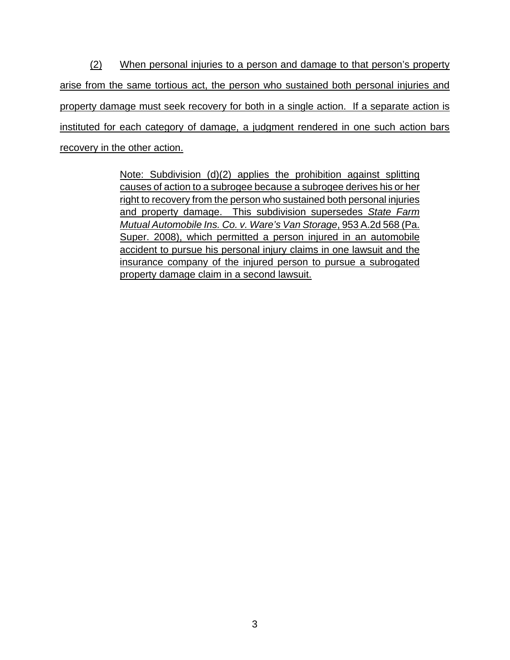(2) When personal injuries to a person and damage to that person's property arise from the same tortious act, the person who sustained both personal injuries and property damage must seek recovery for both in a single action. If a separate action is instituted for each category of damage, a judgment rendered in one such action bars recovery in the other action.

> Note: Subdivision (d)(2) applies the prohibition against splitting causes of action to a subrogee because a subrogee derives his or her right to recovery from the person who sustained both personal injuries and property damage. This subdivision supersedes *State Farm Mutual Automobile Ins. Co. v. Ware's Van Storage*, 953 A.2d 568 (Pa. Super. 2008), which permitted a person injured in an automobile accident to pursue his personal injury claims in one lawsuit and the insurance company of the injured person to pursue a subrogated property damage claim in a second lawsuit.